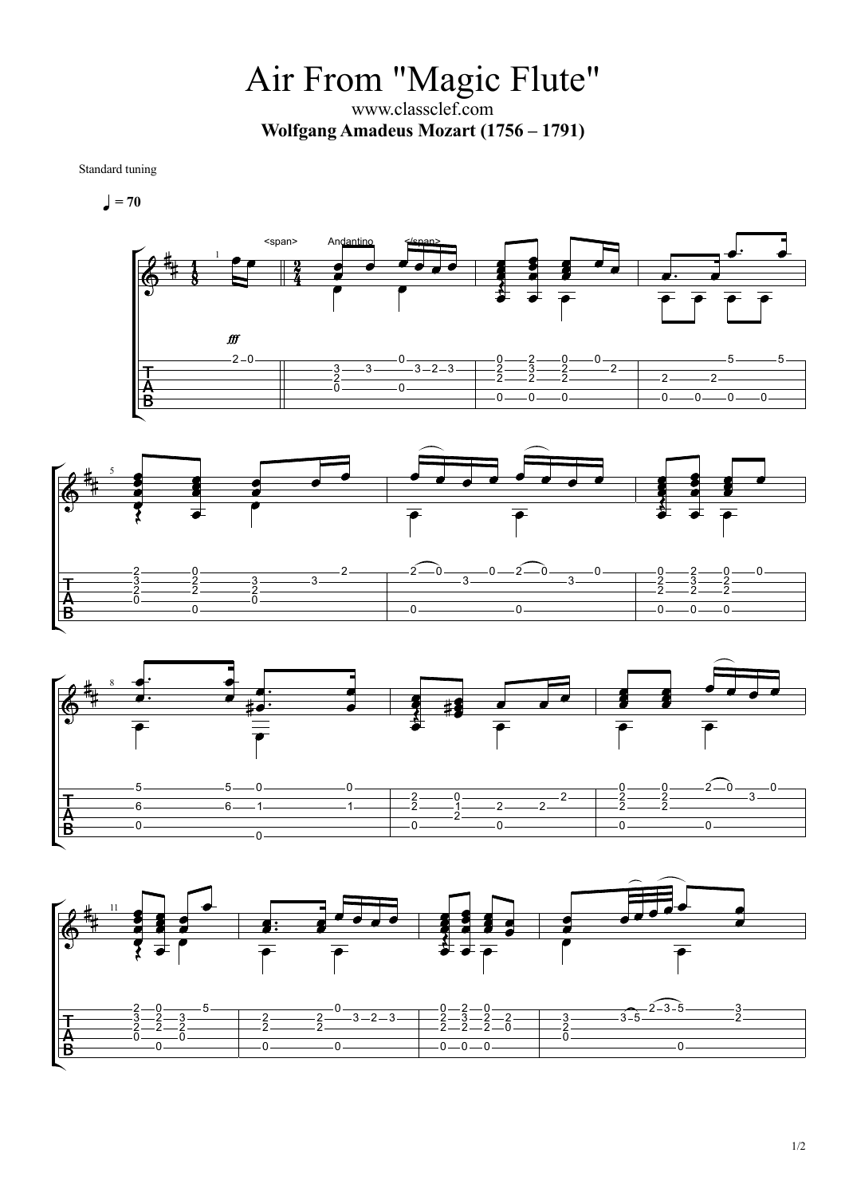Air From "Magic Flute" www.classclef.com **Wolfgang Amadeus Mozart (1756 – 1791)**

Standard tuning

 $= 70$